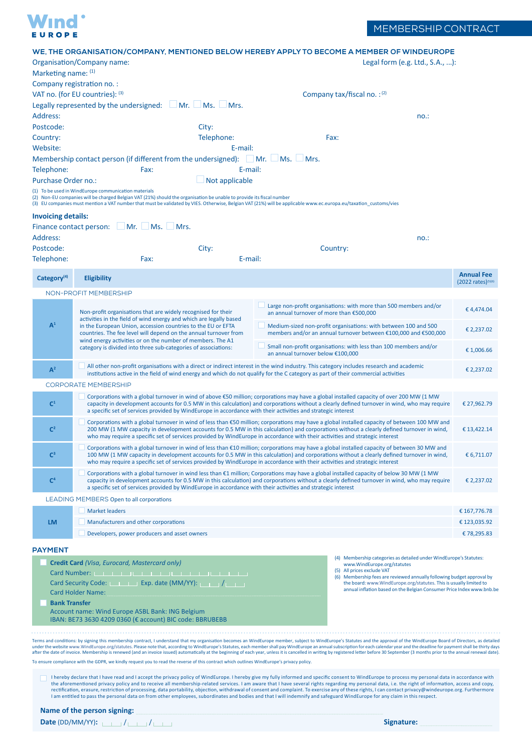

|                           | WE, THE ORGANISATION/COMPANY, MENTIONED BELOW HEREBY APPLY TO BECOME A MEMBER OF WINDEUROPE                                                                                                                                                                                                                                                                                                                                                                                                                                                                                                                                                                                                                                                                                                                                                      |                                                                                                                                                                                                                                                                                                                                                                                                                                                                                                                                                            |                                                                                                                                    |                                                                    |                                                                                                                                              |  |
|---------------------------|--------------------------------------------------------------------------------------------------------------------------------------------------------------------------------------------------------------------------------------------------------------------------------------------------------------------------------------------------------------------------------------------------------------------------------------------------------------------------------------------------------------------------------------------------------------------------------------------------------------------------------------------------------------------------------------------------------------------------------------------------------------------------------------------------------------------------------------------------|------------------------------------------------------------------------------------------------------------------------------------------------------------------------------------------------------------------------------------------------------------------------------------------------------------------------------------------------------------------------------------------------------------------------------------------------------------------------------------------------------------------------------------------------------------|------------------------------------------------------------------------------------------------------------------------------------|--------------------------------------------------------------------|----------------------------------------------------------------------------------------------------------------------------------------------|--|
| Marketing name: (1)       | Organisation/Company name:                                                                                                                                                                                                                                                                                                                                                                                                                                                                                                                                                                                                                                                                                                                                                                                                                       |                                                                                                                                                                                                                                                                                                                                                                                                                                                                                                                                                            |                                                                                                                                    | Legal form $(e.g. Ltd., S.A., ):$                                  |                                                                                                                                              |  |
|                           | Company registration no.:                                                                                                                                                                                                                                                                                                                                                                                                                                                                                                                                                                                                                                                                                                                                                                                                                        |                                                                                                                                                                                                                                                                                                                                                                                                                                                                                                                                                            |                                                                                                                                    |                                                                    |                                                                                                                                              |  |
|                           | VAT no. (for EU countries): (3)                                                                                                                                                                                                                                                                                                                                                                                                                                                                                                                                                                                                                                                                                                                                                                                                                  |                                                                                                                                                                                                                                                                                                                                                                                                                                                                                                                                                            |                                                                                                                                    | Company tax/fiscal no.: (2)                                        |                                                                                                                                              |  |
| Address:                  | Legally represented by the undersigned: Mr. Ms. Mrs.                                                                                                                                                                                                                                                                                                                                                                                                                                                                                                                                                                                                                                                                                                                                                                                             |                                                                                                                                                                                                                                                                                                                                                                                                                                                                                                                                                            |                                                                                                                                    |                                                                    | no.:                                                                                                                                         |  |
| Postcode:                 |                                                                                                                                                                                                                                                                                                                                                                                                                                                                                                                                                                                                                                                                                                                                                                                                                                                  | City:                                                                                                                                                                                                                                                                                                                                                                                                                                                                                                                                                      |                                                                                                                                    |                                                                    |                                                                                                                                              |  |
| Country:                  |                                                                                                                                                                                                                                                                                                                                                                                                                                                                                                                                                                                                                                                                                                                                                                                                                                                  | Telephone:                                                                                                                                                                                                                                                                                                                                                                                                                                                                                                                                                 |                                                                                                                                    | Fax:                                                               |                                                                                                                                              |  |
| Website:                  |                                                                                                                                                                                                                                                                                                                                                                                                                                                                                                                                                                                                                                                                                                                                                                                                                                                  | E-mail:                                                                                                                                                                                                                                                                                                                                                                                                                                                                                                                                                    |                                                                                                                                    |                                                                    |                                                                                                                                              |  |
|                           | Membership contact person (if different from the undersigned):                                                                                                                                                                                                                                                                                                                                                                                                                                                                                                                                                                                                                                                                                                                                                                                   |                                                                                                                                                                                                                                                                                                                                                                                                                                                                                                                                                            | Ms. Mrs.<br>$\Box$ Mr.                                                                                                             |                                                                    |                                                                                                                                              |  |
| Telephone:                | Fax:                                                                                                                                                                                                                                                                                                                                                                                                                                                                                                                                                                                                                                                                                                                                                                                                                                             | E-mail:                                                                                                                                                                                                                                                                                                                                                                                                                                                                                                                                                    |                                                                                                                                    |                                                                    |                                                                                                                                              |  |
| Purchase Order no.:       |                                                                                                                                                                                                                                                                                                                                                                                                                                                                                                                                                                                                                                                                                                                                                                                                                                                  | $\Box$ Not applicable                                                                                                                                                                                                                                                                                                                                                                                                                                                                                                                                      |                                                                                                                                    |                                                                    |                                                                                                                                              |  |
|                           | (1) To be used in WindEurope communication materials<br>(2) Non-EU companies will be charged Belgian VAT (21%) should the organisation be unable to provide its fiscal number<br>(3) EU companies must mention a VAT number that must be validated by VIES. Otherwise, Belgian VAT (21%) will be applicable www.ec.europa.eu/taxation_customs/vies                                                                                                                                                                                                                                                                                                                                                                                                                                                                                               |                                                                                                                                                                                                                                                                                                                                                                                                                                                                                                                                                            |                                                                                                                                    |                                                                    |                                                                                                                                              |  |
| <b>Invoicing details:</b> | Finance contact person: Mr. Ms. Mrs.                                                                                                                                                                                                                                                                                                                                                                                                                                                                                                                                                                                                                                                                                                                                                                                                             |                                                                                                                                                                                                                                                                                                                                                                                                                                                                                                                                                            |                                                                                                                                    |                                                                    |                                                                                                                                              |  |
| Address:                  |                                                                                                                                                                                                                                                                                                                                                                                                                                                                                                                                                                                                                                                                                                                                                                                                                                                  |                                                                                                                                                                                                                                                                                                                                                                                                                                                                                                                                                            |                                                                                                                                    |                                                                    | no.:                                                                                                                                         |  |
| Postcode:<br>Telephone:   | Fax:                                                                                                                                                                                                                                                                                                                                                                                                                                                                                                                                                                                                                                                                                                                                                                                                                                             | City:<br>E-mail:                                                                                                                                                                                                                                                                                                                                                                                                                                                                                                                                           |                                                                                                                                    | Country:                                                           |                                                                                                                                              |  |
| Category <sup>(4)</sup>   | <b>Eligibility</b>                                                                                                                                                                                                                                                                                                                                                                                                                                                                                                                                                                                                                                                                                                                                                                                                                               |                                                                                                                                                                                                                                                                                                                                                                                                                                                                                                                                                            |                                                                                                                                    |                                                                    | <b>Annual Fee</b><br>(2022 rates) <sup>(5)(6)</sup>                                                                                          |  |
| NON-PROFIT MEMBERSHIP     |                                                                                                                                                                                                                                                                                                                                                                                                                                                                                                                                                                                                                                                                                                                                                                                                                                                  |                                                                                                                                                                                                                                                                                                                                                                                                                                                                                                                                                            |                                                                                                                                    |                                                                    |                                                                                                                                              |  |
| A <sup>1</sup>            | Non-profit organisations that are widely recognised for their<br>activities in the field of wind energy and which are legally based                                                                                                                                                                                                                                                                                                                                                                                                                                                                                                                                                                                                                                                                                                              |                                                                                                                                                                                                                                                                                                                                                                                                                                                                                                                                                            | an annual turnover of more than €500,000                                                                                           | Large non-profit organisations: with more than 500 members and/or  | €4,474.04                                                                                                                                    |  |
|                           | in the European Union, accession countries to the EU or EFTA<br>countries. The fee level will depend on the annual turnover from<br>wind energy activities or on the number of members. The A1                                                                                                                                                                                                                                                                                                                                                                                                                                                                                                                                                                                                                                                   |                                                                                                                                                                                                                                                                                                                                                                                                                                                                                                                                                            | Medium-sized non-profit organisations: with between 100 and 500<br>members and/or an annual turnover between €100,000 and €500,000 |                                                                    | € 2,237.02                                                                                                                                   |  |
|                           | category is divided into three sub-categories of associations:                                                                                                                                                                                                                                                                                                                                                                                                                                                                                                                                                                                                                                                                                                                                                                                   |                                                                                                                                                                                                                                                                                                                                                                                                                                                                                                                                                            | an annual turnover below €100,000                                                                                                  | Small non-profit organisations: with less than 100 members and/or  | €1,006.66                                                                                                                                    |  |
| A <sup>2</sup>            | All other non-profit organisations with a direct or indirect interest in the wind industry. This category includes research and academic<br>€ 2,237.02<br>institutions active in the field of wind energy and which do not qualify for the C category as part of their commercial activities                                                                                                                                                                                                                                                                                                                                                                                                                                                                                                                                                     |                                                                                                                                                                                                                                                                                                                                                                                                                                                                                                                                                            |                                                                                                                                    |                                                                    |                                                                                                                                              |  |
|                           | <b>CORPORATE MEMBERSHIP</b>                                                                                                                                                                                                                                                                                                                                                                                                                                                                                                                                                                                                                                                                                                                                                                                                                      |                                                                                                                                                                                                                                                                                                                                                                                                                                                                                                                                                            |                                                                                                                                    |                                                                    |                                                                                                                                              |  |
| $\mathbb{C}^1$            |                                                                                                                                                                                                                                                                                                                                                                                                                                                                                                                                                                                                                                                                                                                                                                                                                                                  | Corporations with a global turnover in wind of above €50 million; corporations may have a global installed capacity of over 200 MW (1 MW<br>capacity in development accounts for 0.5 MW in this calculation) and corporations without a clearly defined turnover in wind, who may require<br>€ 27,962.79                                                                                                                                                                                                                                                   |                                                                                                                                    |                                                                    |                                                                                                                                              |  |
| C <sup>2</sup>            |                                                                                                                                                                                                                                                                                                                                                                                                                                                                                                                                                                                                                                                                                                                                                                                                                                                  | a specific set of services provided by WindEurope in accordance with their activities and strategic interest<br>Corporations with a global turnover in wind of less than €50 million; corporations may have a global installed capacity of between 100 MW and<br>200 MW (1 MW capacity in development accounts for 0.5 MW in this calculation) and corporations without a clearly defined turnover in wind,<br>€ 13,422.14<br>who may require a specific set of services provided by WindEurope in accordance with their activities and strategic interest |                                                                                                                                    |                                                                    |                                                                                                                                              |  |
| C <sup>3</sup>            | Corporations with a global turnover in wind of less than €10 million; corporations may have a global installed capacity of between 30 MW and<br>100 MW (1 MW capacity in development accounts for 0.5 MW in this calculation) and corporations without a clearly defined turnover in wind,<br>€ 6,711.07<br>who may require a specific set of services provided by WindEurope in accordance with their activities and strategic interest                                                                                                                                                                                                                                                                                                                                                                                                         |                                                                                                                                                                                                                                                                                                                                                                                                                                                                                                                                                            |                                                                                                                                    |                                                                    |                                                                                                                                              |  |
| C <sup>4</sup>            | Corporations with a global turnover in wind less than €1 million; Corporations may have a global installed capacity of below 30 MW (1 MW<br>capacity in development accounts for 0.5 MW in this calculation) and corporations without a clearly defined turnover in wind, who may require<br>€ 2,237.02<br>a specific set of services provided by WindEurope in accordance with their activities and strategic interest                                                                                                                                                                                                                                                                                                                                                                                                                          |                                                                                                                                                                                                                                                                                                                                                                                                                                                                                                                                                            |                                                                                                                                    |                                                                    |                                                                                                                                              |  |
|                           | <b>LEADING MEMBERS Open to all corporations</b>                                                                                                                                                                                                                                                                                                                                                                                                                                                                                                                                                                                                                                                                                                                                                                                                  |                                                                                                                                                                                                                                                                                                                                                                                                                                                                                                                                                            |                                                                                                                                    |                                                                    |                                                                                                                                              |  |
|                           | <b>Market leaders</b>                                                                                                                                                                                                                                                                                                                                                                                                                                                                                                                                                                                                                                                                                                                                                                                                                            |                                                                                                                                                                                                                                                                                                                                                                                                                                                                                                                                                            |                                                                                                                                    |                                                                    | € 167,776.78                                                                                                                                 |  |
| <b>LM</b>                 | Manufacturers and other corporations                                                                                                                                                                                                                                                                                                                                                                                                                                                                                                                                                                                                                                                                                                                                                                                                             |                                                                                                                                                                                                                                                                                                                                                                                                                                                                                                                                                            |                                                                                                                                    |                                                                    | € 123,035.92                                                                                                                                 |  |
|                           | Developers, power producers and asset owners                                                                                                                                                                                                                                                                                                                                                                                                                                                                                                                                                                                                                                                                                                                                                                                                     |                                                                                                                                                                                                                                                                                                                                                                                                                                                                                                                                                            |                                                                                                                                    |                                                                    | €78,295.83                                                                                                                                   |  |
|                           |                                                                                                                                                                                                                                                                                                                                                                                                                                                                                                                                                                                                                                                                                                                                                                                                                                                  |                                                                                                                                                                                                                                                                                                                                                                                                                                                                                                                                                            |                                                                                                                                    |                                                                    |                                                                                                                                              |  |
| <b>PAYMENT</b>            |                                                                                                                                                                                                                                                                                                                                                                                                                                                                                                                                                                                                                                                                                                                                                                                                                                                  |                                                                                                                                                                                                                                                                                                                                                                                                                                                                                                                                                            |                                                                                                                                    | (4) Membership categories as detailed under WindEurope's Statutes: |                                                                                                                                              |  |
|                           | Credit Card (Visa, Eurocard, Mastercard only)                                                                                                                                                                                                                                                                                                                                                                                                                                                                                                                                                                                                                                                                                                                                                                                                    | www.WindEurope.org/statutes<br>(5) All prices exclude VAT                                                                                                                                                                                                                                                                                                                                                                                                                                                                                                  |                                                                                                                                    |                                                                    |                                                                                                                                              |  |
|                           | Card Security Code: Exp. date (MM/YY): $\frac{1}{1}$                                                                                                                                                                                                                                                                                                                                                                                                                                                                                                                                                                                                                                                                                                                                                                                             |                                                                                                                                                                                                                                                                                                                                                                                                                                                                                                                                                            |                                                                                                                                    |                                                                    | (6) Membership fees are reviewed annually following budget approval by<br>the board: www.WindEurope.org/statutes. This is usually limited to |  |
|                           | annual inflation based on the Belgian Consumer Price Index www.bnb.be<br><b>Card Holder Name:</b><br><b>Bank Transfer</b>                                                                                                                                                                                                                                                                                                                                                                                                                                                                                                                                                                                                                                                                                                                        |                                                                                                                                                                                                                                                                                                                                                                                                                                                                                                                                                            |                                                                                                                                    |                                                                    |                                                                                                                                              |  |
|                           | Account name: Wind Europe ASBL Bank: ING Belgium<br>IBAN: BE73 3630 4209 0360 (€ account) BIC code: BBRUBEBB                                                                                                                                                                                                                                                                                                                                                                                                                                                                                                                                                                                                                                                                                                                                     |                                                                                                                                                                                                                                                                                                                                                                                                                                                                                                                                                            |                                                                                                                                    |                                                                    |                                                                                                                                              |  |
|                           | Terms and conditions: by signing this membership contract, I understand that my organisation becomes an WindEurope member, subject to WindEurope's Statutes and the approval of the WindEurope Board of Directors, as detailed<br>under the website www.WindEurope.org/statutes. Please note that, according to WindEurope's Statutes, each member shall pay WindEurope an annual subscription for each calendar year and the deadline for payment shall be thir<br>after the date of invoice. Membership is renewed (and an invoice issued) automatically at the beginning of each year, unless it is cancelled in writing by registered letter before 30 September (3 months prior to the annual<br>To ensure compliance with the GDPR, we kindly request you to read the reverse of this contract which outlines WindEurope's privacy policy. |                                                                                                                                                                                                                                                                                                                                                                                                                                                                                                                                                            |                                                                                                                                    |                                                                    |                                                                                                                                              |  |
|                           | I hereby declare that I have read and I accept the privacy policy of WindEurope. I hereby give my fully informed and specific consent to WindEurope to process my personal data in accordance with                                                                                                                                                                                                                                                                                                                                                                                                                                                                                                                                                                                                                                               |                                                                                                                                                                                                                                                                                                                                                                                                                                                                                                                                                            |                                                                                                                                    |                                                                    |                                                                                                                                              |  |
|                           | the aforementioned privacy policy and to receive all membership-related services. I am aware that I have several rights regarding my personal data, i.e. the right of information, access and copy,<br>rectification, erasure, restriction of processing, data portability, objection, withdrawal of consent and complaint. To exercise any of these rights, I can contact privacy@windeurope.org. Furthermore<br>I am entitled to pass the personal data on from other employees, subordinates and bodies and that I will indemnify and safeguard WindEurope for any claim in this respect.                                                                                                                                                                                                                                                     |                                                                                                                                                                                                                                                                                                                                                                                                                                                                                                                                                            |                                                                                                                                    |                                                                    |                                                                                                                                              |  |

**Date** (DD/MM/YY): <u>**Alternative: Signature: Signature: Signature: Signature: Signature: Signature: Signature: Signature: Signature: Signature: Signature: Signature: Signature: Signature: Sign</u>**